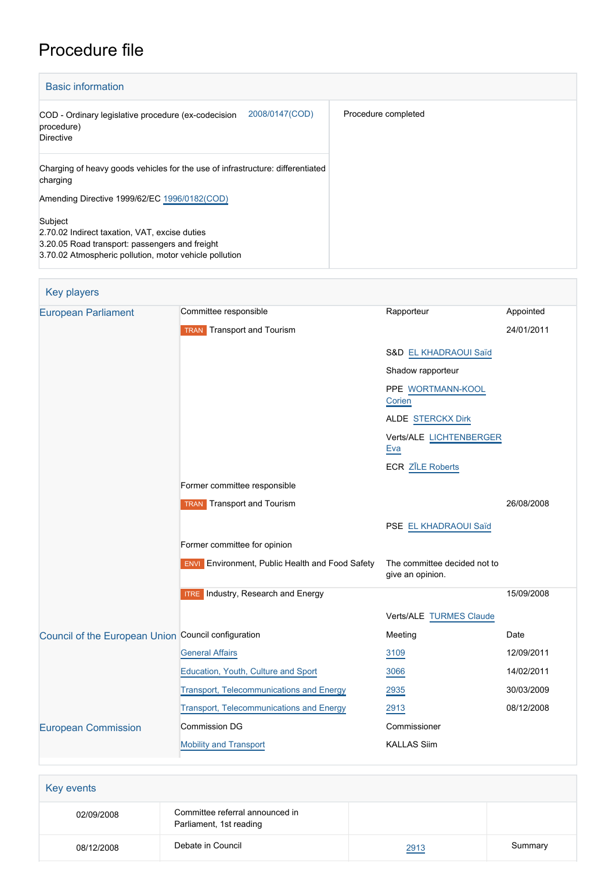# Procedure file

| <b>Basic information</b>                                                                                                                                             |                     |
|----------------------------------------------------------------------------------------------------------------------------------------------------------------------|---------------------|
| 2008/0147(COD)<br>COD - Ordinary legislative procedure (ex-codecision<br>procedure)<br>Directive                                                                     | Procedure completed |
| Charging of heavy goods vehicles for the use of infrastructure: differentiated<br>charging                                                                           |                     |
| Amending Directive 1999/62/EC 1996/0182(COD)                                                                                                                         |                     |
| Subject<br>2.70.02 Indirect taxation, VAT, excise duties<br>3.20.05 Road transport: passengers and freight<br>3.70.02 Atmospheric pollution, motor vehicle pollution |                     |

| <b>Key players</b>                                  |                                                        |                                                  |            |
|-----------------------------------------------------|--------------------------------------------------------|--------------------------------------------------|------------|
| <b>European Parliament</b>                          | Committee responsible                                  | Rapporteur                                       | Appointed  |
|                                                     | <b>TRAN</b> Transport and Tourism                      |                                                  | 24/01/2011 |
|                                                     |                                                        | S&D EL KHADRAOUI Saïd                            |            |
|                                                     |                                                        | Shadow rapporteur                                |            |
|                                                     |                                                        | PPE WORTMANN-KOOL<br>Corien                      |            |
|                                                     |                                                        | ALDE STERCKX Dirk                                |            |
|                                                     |                                                        | Verts/ALE LICHTENBERGER<br>Eva                   |            |
|                                                     |                                                        | <b>ECR ZĪLE Roberts</b>                          |            |
|                                                     | Former committee responsible                           |                                                  |            |
|                                                     | <b>TRAN</b> Transport and Tourism                      |                                                  | 26/08/2008 |
|                                                     |                                                        | PSE EL KHADRAOUI Saïd                            |            |
|                                                     | Former committee for opinion                           |                                                  |            |
|                                                     | <b>ENVI</b> Environment, Public Health and Food Safety | The committee decided not to<br>give an opinion. |            |
|                                                     | <b>ITRE</b> Industry, Research and Energy              |                                                  | 15/09/2008 |
|                                                     |                                                        | Verts/ALE TURMES Claude                          |            |
| Council of the European Union Council configuration |                                                        | Meeting                                          | Date       |
|                                                     | <b>General Affairs</b>                                 | 3109                                             | 12/09/2011 |
|                                                     | Education, Youth, Culture and Sport                    | 3066                                             | 14/02/2011 |
|                                                     | Transport, Telecommunications and Energy               | 2935                                             | 30/03/2009 |
|                                                     | <b>Transport, Telecommunications and Energy</b>        | 2913                                             | 08/12/2008 |
| <b>European Commission</b>                          | Commission DG                                          | Commissioner                                     |            |
|                                                     | <b>Mobility and Transport</b>                          | <b>KALLAS Siim</b>                               |            |
|                                                     |                                                        |                                                  |            |

| Key events |                                                            |      |         |
|------------|------------------------------------------------------------|------|---------|
| 02/09/2008 | Committee referral announced in<br>Parliament, 1st reading |      |         |
| 08/12/2008 | Debate in Council                                          | 2913 | Summary |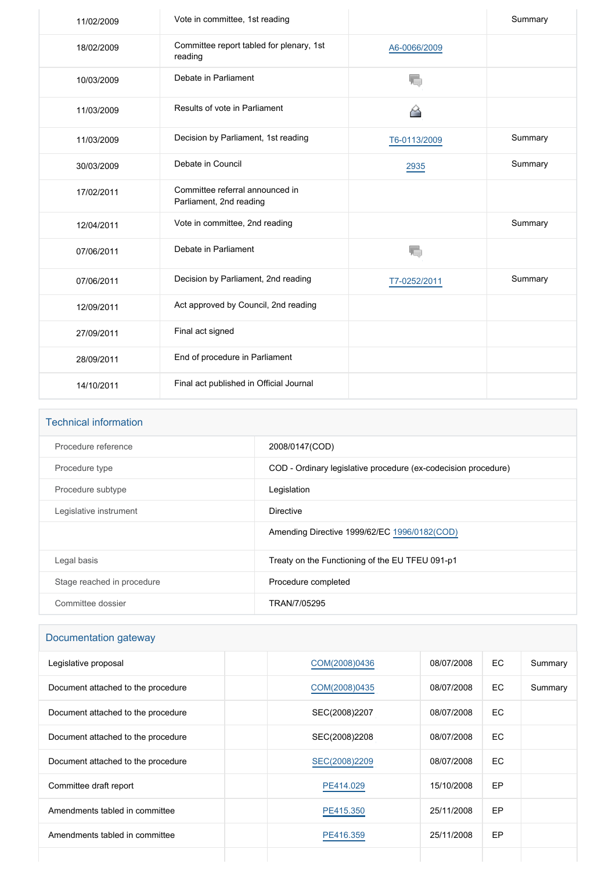| 11/02/2009 | Vote in committee, 1st reading                             |              | Summary |
|------------|------------------------------------------------------------|--------------|---------|
| 18/02/2009 | Committee report tabled for plenary, 1st<br>reading        | A6-0066/2009 |         |
| 10/03/2009 | Debate in Parliament                                       | T,           |         |
| 11/03/2009 | Results of vote in Parliament                              |              |         |
| 11/03/2009 | Decision by Parliament, 1st reading                        | T6-0113/2009 | Summary |
| 30/03/2009 | Debate in Council                                          | 2935         | Summary |
| 17/02/2011 | Committee referral announced in<br>Parliament, 2nd reading |              |         |
| 12/04/2011 | Vote in committee, 2nd reading                             |              | Summary |
| 07/06/2011 | Debate in Parliament                                       | T.           |         |
| 07/06/2011 | Decision by Parliament, 2nd reading                        | T7-0252/2011 | Summary |
| 12/09/2011 | Act approved by Council, 2nd reading                       |              |         |
| 27/09/2011 | Final act signed                                           |              |         |
| 28/09/2011 | End of procedure in Parliament                             |              |         |
| 14/10/2011 | Final act published in Official Journal                    |              |         |

| <b>Technical information</b> |                                                                |
|------------------------------|----------------------------------------------------------------|
| Procedure reference          | 2008/0147(COD)                                                 |
| Procedure type               | COD - Ordinary legislative procedure (ex-codecision procedure) |
| Procedure subtype            | Legislation                                                    |
| Legislative instrument       | <b>Directive</b>                                               |
|                              | Amending Directive 1999/62/EC 1996/0182(COD)                   |
| Legal basis                  | Treaty on the Functioning of the EU TFEU 091-p1                |
| Stage reached in procedure   | Procedure completed                                            |
| Committee dossier            | TRAN/7/05295                                                   |

# Documentation gateway

| Legislative proposal               | COM(2008)0436 | 08/07/2008 | EC  | Summary |
|------------------------------------|---------------|------------|-----|---------|
| Document attached to the procedure | COM(2008)0435 | 08/07/2008 | EC  | Summary |
| Document attached to the procedure | SEC(2008)2207 | 08/07/2008 | EC. |         |
| Document attached to the procedure | SEC(2008)2208 | 08/07/2008 | EC  |         |
| Document attached to the procedure | SEC(2008)2209 | 08/07/2008 | EC  |         |
| Committee draft report             | PE414.029     | 15/10/2008 | EP  |         |
| Amendments tabled in committee     | PE415.350     | 25/11/2008 | EP  |         |
| Amendments tabled in committee     | PE416.359     | 25/11/2008 | EP  |         |
|                                    |               |            |     |         |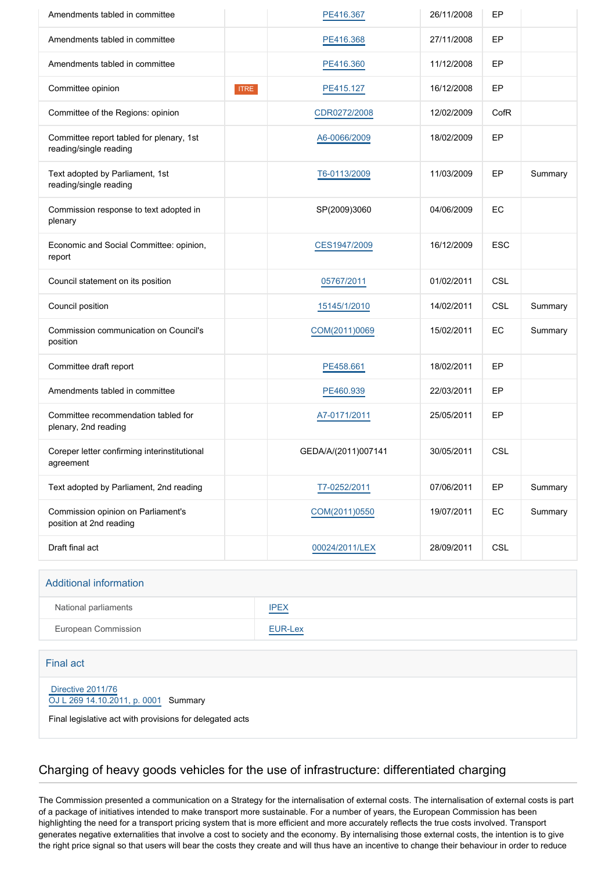| Amendments tabled in committee                                     |             | PE416.367           | 26/11/2008 | EP         |         |
|--------------------------------------------------------------------|-------------|---------------------|------------|------------|---------|
| Amendments tabled in committee                                     |             | PE416.368           | 27/11/2008 | EP         |         |
| Amendments tabled in committee                                     |             | PE416.360           | 11/12/2008 | EP         |         |
| Committee opinion                                                  | <b>ITRE</b> | PE415.127           | 16/12/2008 | EP         |         |
| Committee of the Regions: opinion                                  |             | CDR0272/2008        | 12/02/2009 | CofR       |         |
| Committee report tabled for plenary, 1st<br>reading/single reading |             | A6-0066/2009        | 18/02/2009 | EP         |         |
| Text adopted by Parliament, 1st<br>reading/single reading          |             | T6-0113/2009        | 11/03/2009 | EP         | Summary |
| Commission response to text adopted in<br>plenary                  |             | SP(2009)3060        | 04/06/2009 | EC         |         |
| Economic and Social Committee: opinion,<br>report                  |             | CES1947/2009        | 16/12/2009 | <b>ESC</b> |         |
| Council statement on its position                                  |             | 05767/2011          | 01/02/2011 | <b>CSL</b> |         |
| Council position                                                   |             | 15145/1/2010        | 14/02/2011 | <b>CSL</b> | Summary |
| Commission communication on Council's<br>position                  |             | COM(2011)0069       | 15/02/2011 | EC         | Summary |
| Committee draft report                                             |             | PE458.661           | 18/02/2011 | EP         |         |
| Amendments tabled in committee                                     |             | PE460.939           | 22/03/2011 | EP         |         |
| Committee recommendation tabled for<br>plenary, 2nd reading        |             | A7-0171/2011        | 25/05/2011 | EP         |         |
| Coreper letter confirming interinstitutional<br>agreement          |             | GEDA/A/(2011)007141 | 30/05/2011 | <b>CSL</b> |         |
| Text adopted by Parliament, 2nd reading                            |             | T7-0252/2011        | 07/06/2011 | EP         | Summary |
| Commission opinion on Parliament's<br>position at 2nd reading      |             | COM(2011)0550       | 19/07/2011 | EC         | Summary |
| Draft final act                                                    |             | 00024/2011/LEX      | 28/09/2011 | <b>CSL</b> |         |

#### Additional information

| National parliaments | <b>IPEX</b>                              |
|----------------------|------------------------------------------|
| European Commission  | EUR-Lex<br>the company of the company of |

#### Final act

 [Directive 2011/76](https://eur-lex.europa.eu/smartapi/cgi/sga_doc?smartapi!celexplus!prod!CELEXnumdoc&lg=EN&numdoc=32011L0076) [OJ L 269 14.10.2011, p. 0001](https://eur-lex.europa.eu/JOHtml.do?uri=OJ:L:2011:269:SOM:EN:HTML) Summary

Final legislative act with provisions for delegated acts

#### Charging of heavy goods vehicles for the use of infrastructure: differentiated charging

The Commission presented a communication on a Strategy for the internalisation of external costs. The internalisation of external costs is part of a package of initiatives intended to make transport more sustainable. For a number of years, the European Commission has been highlighting the need for a transport pricing system that is more efficient and more accurately reflects the true costs involved. Transport generates negative externalities that involve a cost to society and the economy. By internalising those external costs, the intention is to give the right price signal so that users will bear the costs they create and will thus have an incentive to change their behaviour in order to reduce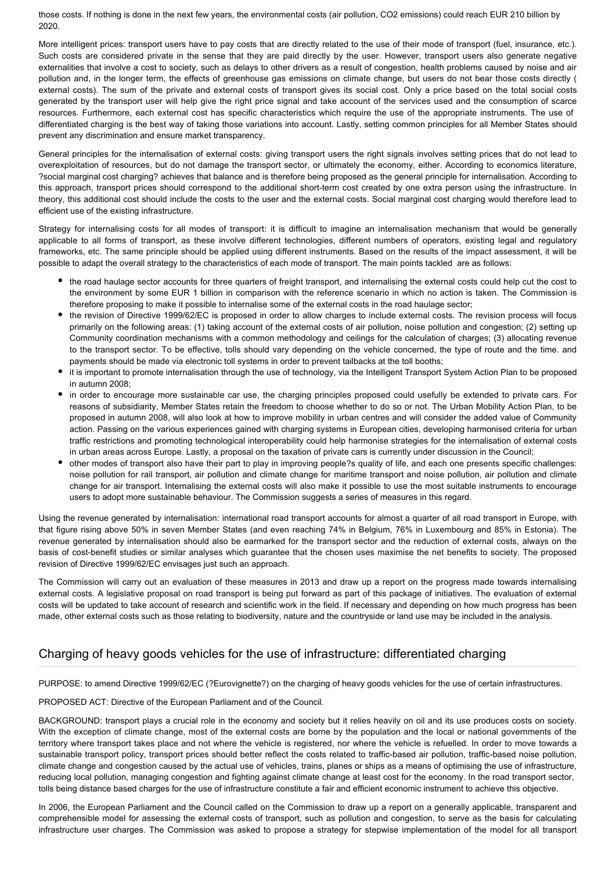those costs. If nothing is done in the next few years, the environmental costs (air pollution, CO2 emissions) could reach EUR 210 billion by 2020.

More intelligent prices: transport users have to pay costs that are directly related to the use of their mode of transport (fuel, insurance, etc.). Such costs are considered private in the sense that they are paid directly by the user. However, transport users also generate negative externalities that involve a cost to society, such as delays to other drivers as a result of congestion, health problems caused by noise and air pollution and, in the longer term, the effects of greenhouse gas emissions on climate change, but users do not bear those costs directly ( external costs). The sum of the private and external costs of transport gives its social cost. Only a price based on the total social costs generated by the transport user will help give the right price signal and take account of the services used and the consumption of scarce resources. Furthermore, each external cost has specific characteristics which require the use of the appropriate instruments. The use of differentiated charging is the best way of taking those variations into account. Lastly, setting common principles for all Member States should prevent any discrimination and ensure market transparency.

General principles for the internalisation of external costs: giving transport users the right signals involves setting prices that do not lead to overexploitation of resources, but do not damage the transport sector, or ultimately the economy, either. According to economics literature, ?social marginal cost charging? achieves that balance and is therefore being proposed as the general principle for internalisation. According to this approach, transport prices should correspond to the additional short-term cost created by one extra person using the infrastructure. In theory, this additional cost should include the costs to the user and the external costs. Social marginal cost charging would therefore lead to efficient use of the existing infrastructure.

Strategy for internalising costs for all modes of transport: it is difficult to imagine an internalisation mechanism that would be generally applicable to all forms of transport, as these involve different technologies, different numbers of operators, existing legal and regulatory frameworks, etc. The same principle should be applied using different instruments. Based on the results of the impact assessment, it will be possible to adapt the overall strategy to the characteristics of each mode of transport. The main points tackled are as follows:

- the road haulage sector accounts for three quarters of freight transport, and internalising the external costs could help cut the cost to the environment by some EUR 1 billion in comparison with the reference scenario in which no action is taken. The Commission is therefore proposing to make it possible to internalise some of the external costs in the road haulage sector;
- the revision of Directive 1999/62/EC is proposed in order to allow charges to include external costs. The revision process will focus primarily on the following areas: (1) taking account of the external costs of air pollution, noise pollution and congestion; (2) setting up Community coordination mechanisms with a common methodology and ceilings for the calculation of charges; (3) allocating revenue to the transport sector. To be effective, tolls should vary depending on the vehicle concerned, the type of route and the time. and payments should be made via electronic toll systems in order to prevent tailbacks at the toll booths;
- it is important to promote internalisation through the use of technology, via the Intelligent Transport System Action Plan to be proposed in autumn 2008;
- in order to encourage more sustainable car use, the charging principles proposed could usefully be extended to private cars. For reasons of subsidiarity, Member States retain the freedom to choose whether to do so or not. The Urban Mobility Action Plan, to be proposed in autumn 2008, will also look at how to improve mobility in urban centres and will consider the added value of Community action. Passing on the various experiences gained with charging systems in European cities, developing harmonised criteria for urban traffic restrictions and promoting technological interoperability could help harmonise strategies for the internalisation of external costs in urban areas across Europe. Lastly, a proposal on the taxation of private cars is currently under discussion in the Council;
- other modes of transport also have their part to play in improving people?s quality of life, and each one presents specific challenges: noise pollution for rail transport, air pollution and climate change for maritime transport and noise pollution, air pollution and climate change for air transport. Internalising the external costs will also make it possible to use the most suitable instruments to encourage users to adopt more sustainable behaviour. The Commission suggests a series of measures in this regard.

Using the revenue generated by internalisation: international road transport accounts for almost a quarter of all road transport in Europe, with that figure rising above 50% in seven Member States (and even reaching 74% in Belgium, 76% in Luxembourg and 85% in Estonia). The revenue generated by internalisation should also be earmarked for the transport sector and the reduction of external costs, always on the basis of cost-benefit studies or similar analyses which guarantee that the chosen uses maximise the net benefits to society. The proposed revision of Directive 1999/62/EC envisages just such an approach.

The Commission will carry out an evaluation of these measures in 2013 and draw up a report on the progress made towards internalising external costs. A legislative proposal on road transport is being put forward as part of this package of initiatives. The evaluation of external costs will be updated to take account of research and scientific work in the field. If necessary and depending on how much progress has been made, other external costs such as those relating to biodiversity, nature and the countryside or land use may be included in the analysis.

## Charging of heavy goods vehicles for the use of infrastructure: differentiated charging

PURPOSE: to amend Directive 1999/62/EC (?Eurovignette?) on the charging of heavy goods vehicles for the use of certain infrastructures.

PROPOSED ACT: Directive of the European Parliament and of the Council.

BACKGROUND: transport plays a crucial role in the economy and society but it relies heavily on oil and its use produces costs on society. With the exception of climate change, most of the external costs are borne by the population and the local or national governments of the territory where transport takes place and not where the vehicle is registered, nor where the vehicle is refuelled. In order to move towards a sustainable transport policy, transport prices should better reflect the costs related to traffic-based air pollution, traffic-based noise pollution, climate change and congestion caused by the actual use of vehicles, trains, planes or ships as a means of optimising the use of infrastructure, reducing local pollution, managing congestion and fighting against climate change at least cost for the economy. In the road transport sector, tolls being distance based charges for the use of infrastructure constitute a fair and efficient economic instrument to achieve this objective.

In 2006, the European Parliament and the Council called on the Commission to draw up a report on a generally applicable, transparent and comprehensible model for assessing the external costs of transport, such as pollution and congestion, to serve as the basis for calculating infrastructure user charges. The Commission was asked to propose a strategy for stepwise implementation of the model for all transport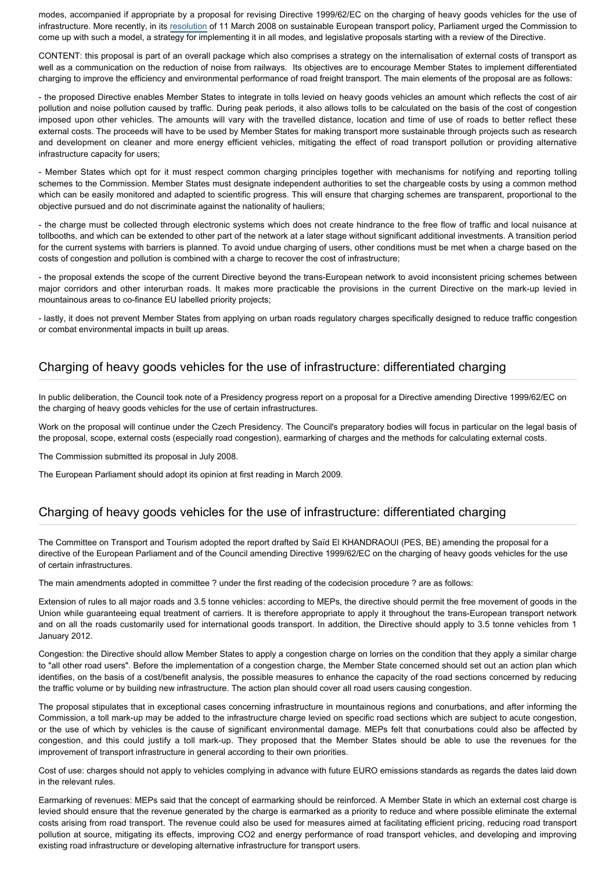modes, accompanied if appropriate by a proposal for revising Directive 1999/62/EC on the charging of heavy goods vehicles for the use of infrastructure. More recently, in its [resolution](http://www.europarl.europa.eu/oeil/FindByProcnum.do?lang=en&procnum=INI/2007/2147) of 11 March 2008 on sustainable European transport policy, Parliament urged the Commission to come up with such a model, a strategy for implementing it in all modes, and legislative proposals starting with a review of the Directive.

CONTENT: this proposal is part of an overall package which also comprises a strategy on the internalisation of external costs of transport as well as a communication on the reduction of noise from railways. Its objectives are to encourage Member States to implement differentiated charging to improve the efficiency and environmental performance of road freight transport. The main elements of the proposal are as follows:

- the proposed Directive enables Member States to integrate in tolls levied on heavy goods vehicles an amount which reflects the cost of air pollution and noise pollution caused by traffic. During peak periods, it also allows tolls to be calculated on the basis of the cost of congestion imposed upon other vehicles. The amounts will vary with the travelled distance, location and time of use of roads to better reflect these external costs. The proceeds will have to be used by Member States for making transport more sustainable through projects such as research and development on cleaner and more energy efficient vehicles, mitigating the effect of road transport pollution or providing alternative infrastructure capacity for users;

- Member States which opt for it must respect common charging principles together with mechanisms for notifying and reporting tolling schemes to the Commission. Member States must designate independent authorities to set the chargeable costs by using a common method which can be easily monitored and adapted to scientific progress. This will ensure that charging schemes are transparent, proportional to the objective pursued and do not discriminate against the nationality of hauliers;

- the charge must be collected through electronic systems which does not create hindrance to the free flow of traffic and local nuisance at tollbooths, and which can be extended to other part of the network at a later stage without significant additional investments. A transition period for the current systems with barriers is planned. To avoid undue charging of users, other conditions must be met when a charge based on the costs of congestion and pollution is combined with a charge to recover the cost of infrastructure;

- the proposal extends the scope of the current Directive beyond the trans-European network to avoid inconsistent pricing schemes between major corridors and other interurban roads. It makes more practicable the provisions in the current Directive on the mark-up levied in mountainous areas to co-finance EU labelled priority projects;

- lastly, it does not prevent Member States from applying on urban roads regulatory charges specifically designed to reduce traffic congestion or combat environmental impacts in built up areas.

#### Charging of heavy goods vehicles for the use of infrastructure: differentiated charging

In public deliberation, the Council took note of a Presidency progress report on a proposal for a Directive amending Directive 1999/62/EC on the charging of heavy goods vehicles for the use of certain infrastructures.

Work on the proposal will continue under the Czech Presidency. The Council's preparatory bodies will focus in particular on the legal basis of the proposal, scope, external costs (especially road congestion), earmarking of charges and the methods for calculating external costs.

The Commission submitted its proposal in July 2008.

The European Parliament should adopt its opinion at first reading in March 2009.

#### Charging of heavy goods vehicles for the use of infrastructure: differentiated charging

The Committee on Transport and Tourism adopted the report drafted by Saïd El KHANDRAOUI (PES, BE) amending the proposal for a directive of the European Parliament and of the Council amending Directive 1999/62/EC on the charging of heavy goods vehicles for the use of certain infrastructures.

The main amendments adopted in committee ? under the first reading of the codecision procedure ? are as follows:

Extension of rules to all major roads and 3.5 tonne vehicles: according to MEPs, the directive should permit the free movement of goods in the Union while guaranteeing equal treatment of carriers. It is therefore appropriate to apply it throughout the trans-European transport network and on all the roads customarily used for international goods transport. In addition, the Directive should apply to 3.5 tonne vehicles from 1 January 2012.

Congestion: the Directive should allow Member States to apply a congestion charge on lorries on the condition that they apply a similar charge to "all other road users". Before the implementation of a congestion charge, the Member State concerned should set out an action plan which identifies, on the basis of a cost/benefit analysis, the possible measures to enhance the capacity of the road sections concerned by reducing the traffic volume or by building new infrastructure. The action plan should cover all road users causing congestion.

The proposal stipulates that in exceptional cases concerning infrastructure in mountainous regions and conurbations, and after informing the Commission, a toll mark-up may be added to the infrastructure charge levied on specific road sections which are subject to acute congestion, or the use of which by vehicles is the cause of significant environmental damage. MEPs felt that conurbations could also be affected by congestion, and this could justify a toll mark-up. They proposed that the Member States should be able to use the revenues for the improvement of transport infrastructure in general according to their own priorities.

Cost of use: charges should not apply to vehicles complying in advance with future EURO emissions standards as regards the dates laid down in the relevant rules.

Earmarking of revenues: MEPs said that the concept of earmarking should be reinforced. A Member State in which an external cost charge is levied should ensure that the revenue generated by the charge is earmarked as a priority to reduce and where possible eliminate the external costs arising from road transport. The revenue could also be used for measures aimed at facilitating efficient pricing, reducing road transport pollution at source, mitigating its effects, improving CO2 and energy performance of road transport vehicles, and developing and improving existing road infrastructure or developing alternative infrastructure for transport users.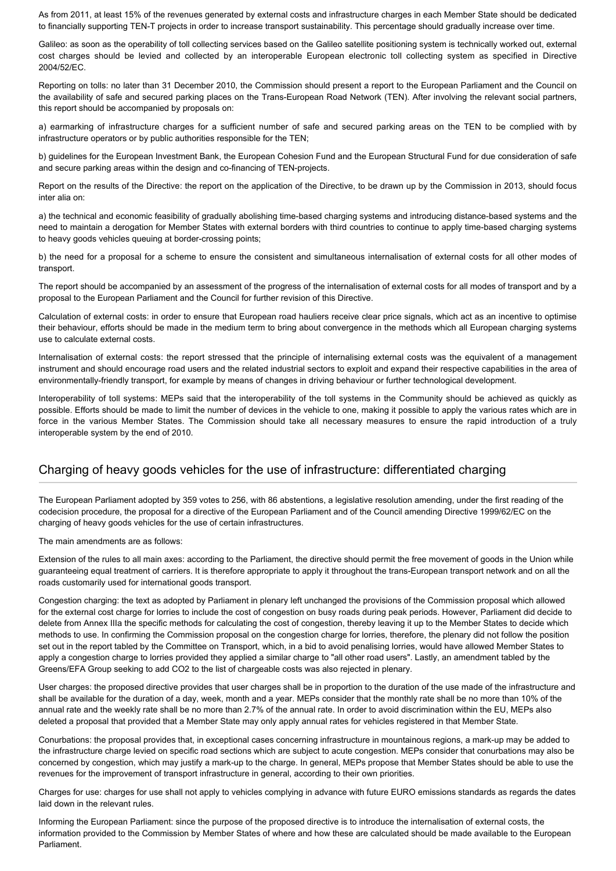As from 2011, at least 15% of the revenues generated by external costs and infrastructure charges in each Member State should be dedicated to financially supporting TEN-T projects in order to increase transport sustainability. This percentage should gradually increase over time.

Galileo: as soon as the operability of toll collecting services based on the Galileo satellite positioning system is technically worked out, external cost charges should be levied and collected by an interoperable European electronic toll collecting system as specified in Directive 2004/52/EC.

Reporting on tolls: no later than 31 December 2010, the Commission should present a report to the European Parliament and the Council on the availability of safe and secured parking places on the Trans-European Road Network (TEN). After involving the relevant social partners, this report should be accompanied by proposals on:

a) earmarking of infrastructure charges for a sufficient number of safe and secured parking areas on the TEN to be complied with by infrastructure operators or by public authorities responsible for the TEN;

b) guidelines for the European Investment Bank, the European Cohesion Fund and the European Structural Fund for due consideration of safe and secure parking areas within the design and co-financing of TEN-projects.

Report on the results of the Directive: the report on the application of the Directive, to be drawn up by the Commission in 2013, should focus inter alia on:

a) the technical and economic feasibility of gradually abolishing time-based charging systems and introducing distance-based systems and the need to maintain a derogation for Member States with external borders with third countries to continue to apply time-based charging systems to heavy goods vehicles queuing at border-crossing points;

b) the need for a proposal for a scheme to ensure the consistent and simultaneous internalisation of external costs for all other modes of transport.

The report should be accompanied by an assessment of the progress of the internalisation of external costs for all modes of transport and by a proposal to the European Parliament and the Council for further revision of this Directive.

Calculation of external costs: in order to ensure that European road hauliers receive clear price signals, which act as an incentive to optimise their behaviour, efforts should be made in the medium term to bring about convergence in the methods which all European charging systems use to calculate external costs.

Internalisation of external costs: the report stressed that the principle of internalising external costs was the equivalent of a management instrument and should encourage road users and the related industrial sectors to exploit and expand their respective capabilities in the area of environmentally-friendly transport, for example by means of changes in driving behaviour or further technological development.

Interoperability of toll systems: MEPs said that the interoperability of the toll systems in the Community should be achieved as quickly as possible. Efforts should be made to limit the number of devices in the vehicle to one, making it possible to apply the various rates which are in force in the various Member States. The Commission should take all necessary measures to ensure the rapid introduction of a truly interoperable system by the end of 2010.

#### Charging of heavy goods vehicles for the use of infrastructure: differentiated charging

The European Parliament adopted by 359 votes to 256, with 86 abstentions, a legislative resolution amending, under the first reading of the codecision procedure, the proposal for a directive of the European Parliament and of the Council amending Directive 1999/62/EC on the charging of heavy goods vehicles for the use of certain infrastructures.

The main amendments are as follows:

Extension of the rules to all main axes: according to the Parliament, the directive should permit the free movement of goods in the Union while guaranteeing equal treatment of carriers. It is therefore appropriate to apply it throughout the trans-European transport network and on all the roads customarily used for international goods transport.

Congestion charging: the text as adopted by Parliament in plenary left unchanged the provisions of the Commission proposal which allowed for the external cost charge for lorries to include the cost of congestion on busy roads during peak periods. However, Parliament did decide to delete from Annex IIIa the specific methods for calculating the cost of congestion, thereby leaving it up to the Member States to decide which methods to use. In confirming the Commission proposal on the congestion charge for lorries, therefore, the plenary did not follow the position set out in the report tabled by the Committee on Transport, which, in a bid to avoid penalising lorries, would have allowed Member States to apply a congestion charge to lorries provided they applied a similar charge to "all other road users". Lastly, an amendment tabled by the Greens/EFA Group seeking to add CO2 to the list of chargeable costs was also rejected in plenary.

User charges: the proposed directive provides that user charges shall be in proportion to the duration of the use made of the infrastructure and shall be available for the duration of a day, week, month and a year. MEPs consider that the monthly rate shall be no more than 10% of the annual rate and the weekly rate shall be no more than 2.7% of the annual rate. In order to avoid discrimination within the EU, MEPs also deleted a proposal that provided that a Member State may only apply annual rates for vehicles registered in that Member State.

Conurbations: the proposal provides that, in exceptional cases concerning infrastructure in mountainous regions, a mark-up may be added to the infrastructure charge levied on specific road sections which are subject to acute congestion. MEPs consider that conurbations may also be concerned by congestion, which may justify a mark-up to the charge. In general, MEPs propose that Member States should be able to use the revenues for the improvement of transport infrastructure in general, according to their own priorities.

Charges for use: charges for use shall not apply to vehicles complying in advance with future EURO emissions standards as regards the dates laid down in the relevant rules.

Informing the European Parliament: since the purpose of the proposed directive is to introduce the internalisation of external costs, the information provided to the Commission by Member States of where and how these are calculated should be made available to the European Parliament.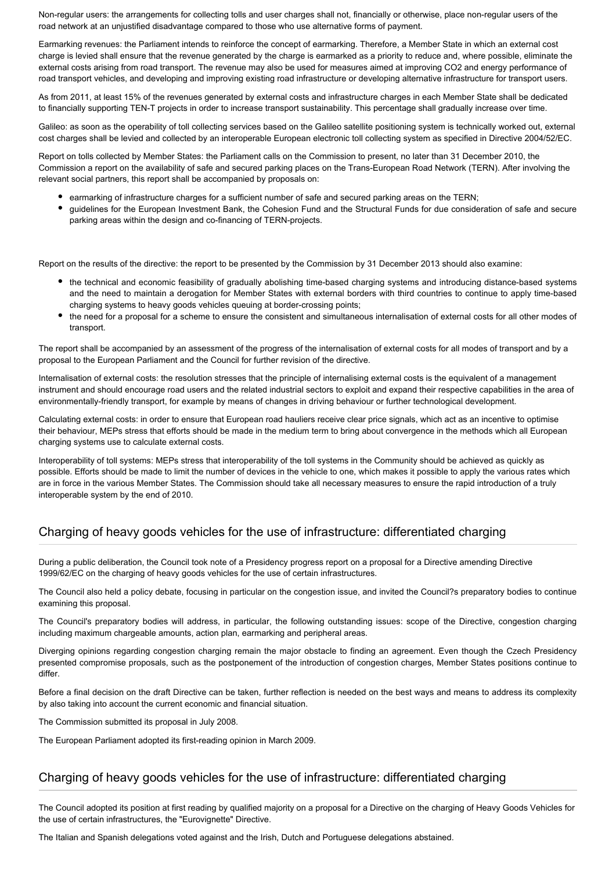Non-regular users: the arrangements for collecting tolls and user charges shall not, financially or otherwise, place non-regular users of the road network at an unjustified disadvantage compared to those who use alternative forms of payment.

Earmarking revenues: the Parliament intends to reinforce the concept of earmarking. Therefore, a Member State in which an external cost charge is levied shall ensure that the revenue generated by the charge is earmarked as a priority to reduce and, where possible, eliminate the external costs arising from road transport. The revenue may also be used for measures aimed at improving CO2 and energy performance of road transport vehicles, and developing and improving existing road infrastructure or developing alternative infrastructure for transport users.

As from 2011, at least 15% of the revenues generated by external costs and infrastructure charges in each Member State shall be dedicated to financially supporting TEN-T projects in order to increase transport sustainability. This percentage shall gradually increase over time.

Galileo: as soon as the operability of toll collecting services based on the Galileo satellite positioning system is technically worked out, external cost charges shall be levied and collected by an interoperable European electronic toll collecting system as specified in Directive 2004/52/EC.

Report on tolls collected by Member States: the Parliament calls on the Commission to present, no later than 31 December 2010, the Commission a report on the availability of safe and secured parking places on the Trans-European Road Network (TERN). After involving the relevant social partners, this report shall be accompanied by proposals on:

- earmarking of infrastructure charges for a sufficient number of safe and secured parking areas on the TERN;
- guidelines for the European Investment Bank, the Cohesion Fund and the Structural Funds for due consideration of safe and secure parking areas within the design and co-financing of TERN-projects.

Report on the results of the directive: the report to be presented by the Commission by 31 December 2013 should also examine:

- the technical and economic feasibility of gradually abolishing time-based charging systems and introducing distance-based systems and the need to maintain a derogation for Member States with external borders with third countries to continue to apply time-based charging systems to heavy goods vehicles queuing at border-crossing points;
- the need for a proposal for a scheme to ensure the consistent and simultaneous internalisation of external costs for all other modes of transport.

The report shall be accompanied by an assessment of the progress of the internalisation of external costs for all modes of transport and by a proposal to the European Parliament and the Council for further revision of the directive.

Internalisation of external costs: the resolution stresses that the principle of internalising external costs is the equivalent of a management instrument and should encourage road users and the related industrial sectors to exploit and expand their respective capabilities in the area of environmentally-friendly transport, for example by means of changes in driving behaviour or further technological development.

Calculating external costs: in order to ensure that European road hauliers receive clear price signals, which act as an incentive to optimise their behaviour, MEPs stress that efforts should be made in the medium term to bring about convergence in the methods which all European charging systems use to calculate external costs.

Interoperability of toll systems: MEPs stress that interoperability of the toll systems in the Community should be achieved as quickly as possible. Efforts should be made to limit the number of devices in the vehicle to one, which makes it possible to apply the various rates which are in force in the various Member States. The Commission should take all necessary measures to ensure the rapid introduction of a truly interoperable system by the end of 2010.

## Charging of heavy goods vehicles for the use of infrastructure: differentiated charging

During a public deliberation, the Council took note of a Presidency progress report on a proposal for a Directive amending Directive 1999/62/EC on the charging of heavy goods vehicles for the use of certain infrastructures.

The Council also held a policy debate, focusing in particular on the congestion issue, and invited the Council?s preparatory bodies to continue examining this proposal.

The Council's preparatory bodies will address, in particular, the following outstanding issues: scope of the Directive, congestion charging including maximum chargeable amounts, action plan, earmarking and peripheral areas.

Diverging opinions regarding congestion charging remain the major obstacle to finding an agreement. Even though the Czech Presidency presented compromise proposals, such as the postponement of the introduction of congestion charges, Member States positions continue to differ.

Before a final decision on the draft Directive can be taken, further reflection is needed on the best ways and means to address its complexity by also taking into account the current economic and financial situation.

The Commission submitted its proposal in July 2008.

The European Parliament adopted its first-reading opinion in March 2009.

## Charging of heavy goods vehicles for the use of infrastructure: differentiated charging

The Council adopted its position at first reading by qualified majority on a proposal for a Directive on the charging of Heavy Goods Vehicles for the use of certain infrastructures, the "Eurovignette" Directive.

The Italian and Spanish delegations voted against and the Irish, Dutch and Portuguese delegations abstained.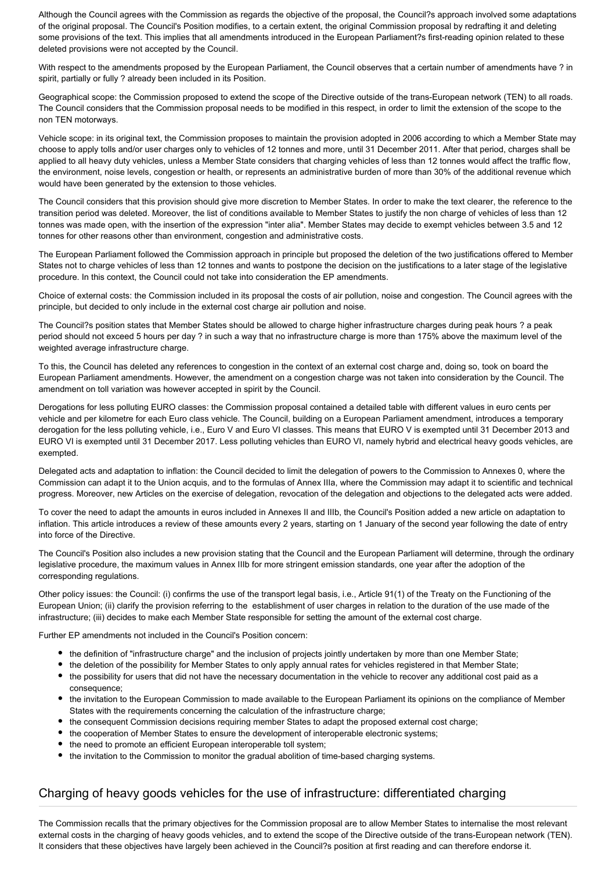Although the Council agrees with the Commission as regards the objective of the proposal, the Council?s approach involved some adaptations of the original proposal. The Council's Position modifies, to a certain extent, the original Commission proposal by redrafting it and deleting some provisions of the text. This implies that all amendments introduced in the European Parliament?s first-reading opinion related to these deleted provisions were not accepted by the Council.

With respect to the amendments proposed by the European Parliament, the Council observes that a certain number of amendments have ? in spirit, partially or fully ? already been included in its Position.

Geographical scope: the Commission proposed to extend the scope of the Directive outside of the trans-European network (TEN) to all roads. The Council considers that the Commission proposal needs to be modified in this respect, in order to limit the extension of the scope to the non TEN motorways.

Vehicle scope: in its original text, the Commission proposes to maintain the provision adopted in 2006 according to which a Member State may choose to apply tolls and/or user charges only to vehicles of 12 tonnes and more, until 31 December 2011. After that period, charges shall be applied to all heavy duty vehicles, unless a Member State considers that charging vehicles of less than 12 tonnes would affect the traffic flow, the environment, noise levels, congestion or health, or represents an administrative burden of more than 30% of the additional revenue which would have been generated by the extension to those vehicles.

The Council considers that this provision should give more discretion to Member States. In order to make the text clearer, the reference to the transition period was deleted. Moreover, the list of conditions available to Member States to justify the non charge of vehicles of less than 12 tonnes was made open, with the insertion of the expression "inter alia". Member States may decide to exempt vehicles between 3.5 and 12 tonnes for other reasons other than environment, congestion and administrative costs.

The European Parliament followed the Commission approach in principle but proposed the deletion of the two justifications offered to Member States not to charge vehicles of less than 12 tonnes and wants to postpone the decision on the justifications to a later stage of the legislative procedure. In this context, the Council could not take into consideration the EP amendments.

Choice of external costs: the Commission included in its proposal the costs of air pollution, noise and congestion. The Council agrees with the principle, but decided to only include in the external cost charge air pollution and noise.

The Council?s position states that Member States should be allowed to charge higher infrastructure charges during peak hours ? a peak period should not exceed 5 hours per day ? in such a way that no infrastructure charge is more than 175% above the maximum level of the weighted average infrastructure charge.

To this, the Council has deleted any references to congestion in the context of an external cost charge and, doing so, took on board the European Parliament amendments. However, the amendment on a congestion charge was not taken into consideration by the Council. The amendment on toll variation was however accepted in spirit by the Council.

Derogations for less polluting EURO classes: the Commission proposal contained a detailed table with different values in euro cents per vehicle and per kilometre for each Euro class vehicle. The Council, building on a European Parliament amendment, introduces a temporary derogation for the less polluting vehicle, i.e., Euro V and Euro VI classes. This means that EURO V is exempted until 31 December 2013 and EURO VI is exempted until 31 December 2017. Less polluting vehicles than EURO VI, namely hybrid and electrical heavy goods vehicles, are exempted.

Delegated acts and adaptation to inflation: the Council decided to limit the delegation of powers to the Commission to Annexes 0, where the Commission can adapt it to the Union acquis, and to the formulas of Annex IIIa, where the Commission may adapt it to scientific and technical progress. Moreover, new Articles on the exercise of delegation, revocation of the delegation and objections to the delegated acts were added.

To cover the need to adapt the amounts in euros included in Annexes II and IIIb, the Council's Position added a new article on adaptation to inflation. This article introduces a review of these amounts every 2 years, starting on 1 January of the second year following the date of entry into force of the Directive.

The Council's Position also includes a new provision stating that the Council and the European Parliament will determine, through the ordinary legislative procedure, the maximum values in Annex IIIb for more stringent emission standards, one year after the adoption of the corresponding regulations.

Other policy issues: the Council: (i) confirms the use of the transport legal basis, i.e., Article 91(1) of the Treaty on the Functioning of the European Union; (ii) clarify the provision referring to the establishment of user charges in relation to the duration of the use made of the infrastructure; (iii) decides to make each Member State responsible for setting the amount of the external cost charge.

Further EP amendments not included in the Council's Position concern:

- the definition of "infrastructure charge" and the inclusion of projects jointly undertaken by more than one Member State;
- the deletion of the possibility for Member States to only apply annual rates for vehicles registered in that Member State;
- the possibility for users that did not have the necessary documentation in the vehicle to recover any additional cost paid as a consequence;
- the invitation to the European Commission to made available to the European Parliament its opinions on the compliance of Member States with the requirements concerning the calculation of the infrastructure charge;
- the consequent Commission decisions requiring member States to adapt the proposed external cost charge;
- the cooperation of Member States to ensure the development of interoperable electronic systems;
- the need to promote an efficient European interoperable toll system;
- the invitation to the Commission to monitor the gradual abolition of time-based charging systems.

## Charging of heavy goods vehicles for the use of infrastructure: differentiated charging

The Commission recalls that the primary objectives for the Commission proposal are to allow Member States to internalise the most relevant external costs in the charging of heavy goods vehicles, and to extend the scope of the Directive outside of the trans-European network (TEN). It considers that these objectives have largely been achieved in the Council?s position at first reading and can therefore endorse it.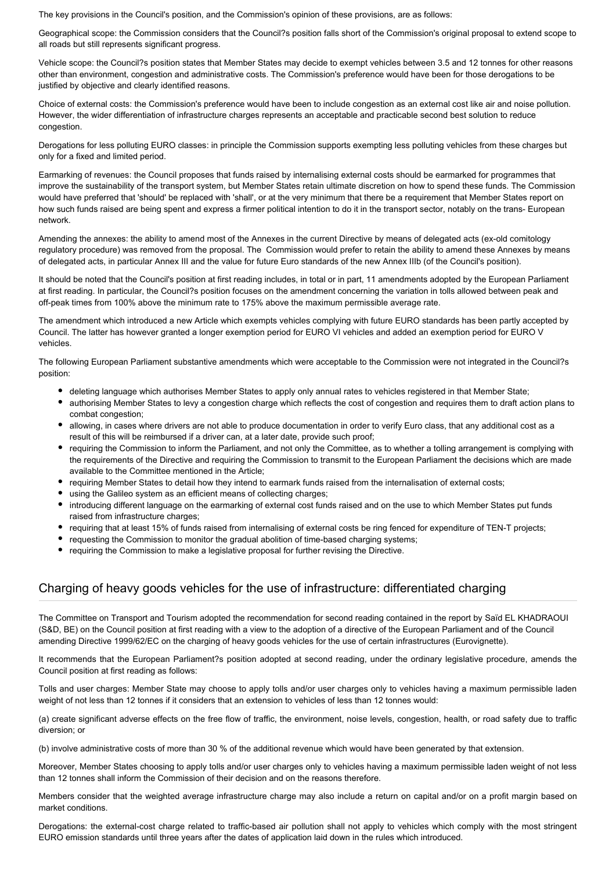The key provisions in the Council's position, and the Commission's opinion of these provisions, are as follows:

Geographical scope: the Commission considers that the Council?s position falls short of the Commission's original proposal to extend scope to all roads but still represents significant progress.

Vehicle scope: the Council?s position states that Member States may decide to exempt vehicles between 3.5 and 12 tonnes for other reasons other than environment, congestion and administrative costs. The Commission's preference would have been for those derogations to be justified by objective and clearly identified reasons.

Choice of external costs: the Commission's preference would have been to include congestion as an external cost like air and noise pollution. However, the wider differentiation of infrastructure charges represents an acceptable and practicable second best solution to reduce congestion.

Derogations for less polluting EURO classes: in principle the Commission supports exempting less polluting vehicles from these charges but only for a fixed and limited period.

Earmarking of revenues: the Council proposes that funds raised by internalising external costs should be earmarked for programmes that improve the sustainability of the transport system, but Member States retain ultimate discretion on how to spend these funds. The Commission would have preferred that 'should' be replaced with 'shall', or at the very minimum that there be a requirement that Member States report on how such funds raised are being spent and express a firmer political intention to do it in the transport sector, notably on the trans- European network.

Amending the annexes: the ability to amend most of the Annexes in the current Directive by means of delegated acts (ex-old comitology regulatory procedure) was removed from the proposal. The Commission would prefer to retain the ability to amend these Annexes by means of delegated acts, in particular Annex III and the value for future Euro standards of the new Annex IIIb (of the Council's position).

It should be noted that the Council's position at first reading includes, in total or in part, 11 amendments adopted by the European Parliament at first reading. In particular, the Council?s position focuses on the amendment concerning the variation in tolls allowed between peak and off-peak times from 100% above the minimum rate to 175% above the maximum permissible average rate.

The amendment which introduced a new Article which exempts vehicles complying with future EURO standards has been partly accepted by Council. The latter has however granted a longer exemption period for EURO VI vehicles and added an exemption period for EURO V vehicles.

The following European Parliament substantive amendments which were acceptable to the Commission were not integrated in the Council?s position:

- deleting language which authorises Member States to apply only annual rates to vehicles registered in that Member State;
- authorising Member States to levy a congestion charge which reflects the cost of congestion and requires them to draft action plans to combat congestion;
- allowing, in cases where drivers are not able to produce documentation in order to verify Euro class, that any additional cost as a result of this will be reimbursed if a driver can, at a later date, provide such proof;
- requiring the Commission to inform the Parliament, and not only the Committee, as to whether a tolling arrangement is complying with the requirements of the Directive and requiring the Commission to transmit to the European Parliament the decisions which are made available to the Committee mentioned in the Article;
- requiring Member States to detail how they intend to earmark funds raised from the internalisation of external costs;
- using the Galileo system as an efficient means of collecting charges;
- introducing different language on the earmarking of external cost funds raised and on the use to which Member States put funds raised from infrastructure charges;
- requiring that at least 15% of funds raised from internalising of external costs be ring fenced for expenditure of TEN-T projects;
- requesting the Commission to monitor the gradual abolition of time-based charging systems;
- requiring the Commission to make a legislative proposal for further revising the Directive.

## Charging of heavy goods vehicles for the use of infrastructure: differentiated charging

The Committee on Transport and Tourism adopted the recommendation for second reading contained in the report by Saïd EL KHADRAOUI (S&D, BE) on the Council position at first reading with a view to the adoption of a directive of the European Parliament and of the Council amending Directive 1999/62/EC on the charging of heavy goods vehicles for the use of certain infrastructures (Eurovignette).

It recommends that the European Parliament?s position adopted at second reading, under the ordinary legislative procedure, amends the Council position at first reading as follows:

Tolls and user charges: Member State may choose to apply tolls and/or user charges only to vehicles having a maximum permissible laden weight of not less than 12 tonnes if it considers that an extension to vehicles of less than 12 tonnes would:

(a) create significant adverse effects on the free flow of traffic, the environment, noise levels, congestion, health, or road safety due to traffic diversion; or

(b) involve administrative costs of more than 30 % of the additional revenue which would have been generated by that extension.

Moreover, Member States choosing to apply tolls and/or user charges only to vehicles having a maximum permissible laden weight of not less than 12 tonnes shall inform the Commission of their decision and on the reasons therefore.

Members consider that the weighted average infrastructure charge may also include a return on capital and/or on a profit margin based on market conditions.

Derogations: the external-cost charge related to traffic-based air pollution shall not apply to vehicles which comply with the most stringent EURO emission standards until three years after the dates of application laid down in the rules which introduced.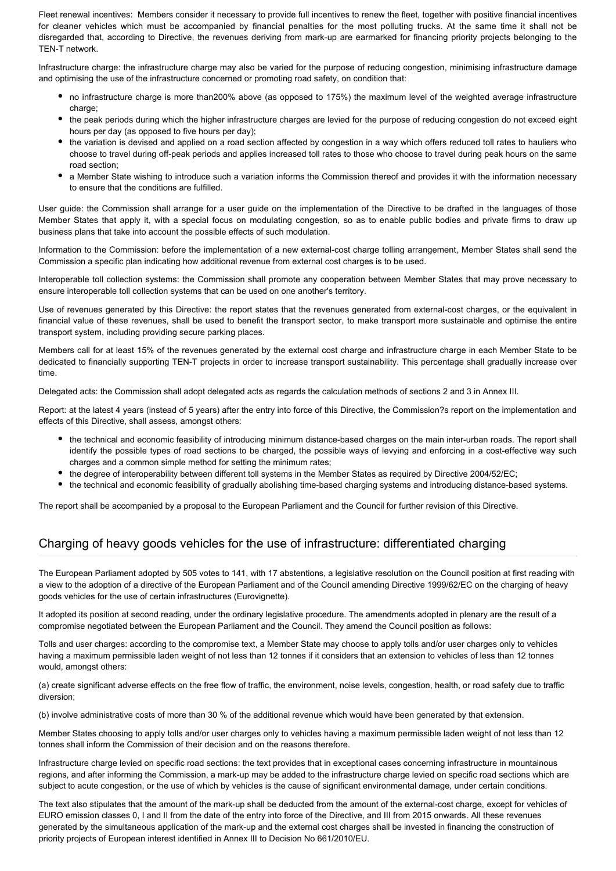Fleet renewal incentives: Members consider it necessary to provide full incentives to renew the fleet, together with positive financial incentives for cleaner vehicles which must be accompanied by financial penalties for the most polluting trucks. At the same time it shall not be disregarded that, according to Directive, the revenues deriving from mark-up are earmarked for financing priority projects belonging to the TEN-T network.

Infrastructure charge: the infrastructure charge may also be varied for the purpose of reducing congestion, minimising infrastructure damage and optimising the use of the infrastructure concerned or promoting road safety, on condition that:

- no infrastructure charge is more than200% above (as opposed to 175%) the maximum level of the weighted average infrastructure charge;
- the peak periods during which the higher infrastructure charges are levied for the purpose of reducing congestion do not exceed eight hours per day (as opposed to five hours per day);
- the variation is devised and applied on a road section affected by congestion in a way which offers reduced toll rates to hauliers who choose to travel during off-peak periods and applies increased toll rates to those who choose to travel during peak hours on the same road section;
- a Member State wishing to introduce such a variation informs the Commission thereof and provides it with the information necessary to ensure that the conditions are fulfilled.

User guide: the Commission shall arrange for a user guide on the implementation of the Directive to be drafted in the languages of those Member States that apply it, with a special focus on modulating congestion, so as to enable public bodies and private firms to draw up business plans that take into account the possible effects of such modulation.

Information to the Commission: before the implementation of a new external-cost charge tolling arrangement, Member States shall send the Commission a specific plan indicating how additional revenue from external cost charges is to be used.

Interoperable toll collection systems: the Commission shall promote any cooperation between Member States that may prove necessary to ensure interoperable toll collection systems that can be used on one another's territory.

Use of revenues generated by this Directive: the report states that the revenues generated from external-cost charges, or the equivalent in financial value of these revenues, shall be used to benefit the transport sector, to make transport more sustainable and optimise the entire transport system, including providing secure parking places.

Members call for at least 15% of the revenues generated by the external cost charge and infrastructure charge in each Member State to be dedicated to financially supporting TEN-T projects in order to increase transport sustainability. This percentage shall gradually increase over time.

Delegated acts: the Commission shall adopt delegated acts as regards the calculation methods of sections 2 and 3 in Annex III.

Report: at the latest 4 years (instead of 5 years) after the entry into force of this Directive, the Commission?s report on the implementation and effects of this Directive, shall assess, amongst others:

- the technical and economic feasibility of introducing minimum distance-based charges on the main inter-urban roads. The report shall identify the possible types of road sections to be charged, the possible ways of levying and enforcing in a cost-effective way such charges and a common simple method for setting the minimum rates;
- the degree of interoperability between different toll systems in the Member States as required by Directive 2004/52/EC;
- the technical and economic feasibility of gradually abolishing time-based charging systems and introducing distance-based systems.

The report shall be accompanied by a proposal to the European Parliament and the Council for further revision of this Directive.

## Charging of heavy goods vehicles for the use of infrastructure: differentiated charging

The European Parliament adopted by 505 votes to 141, with 17 abstentions, a legislative resolution on the Council position at first reading with a view to the adoption of a directive of the European Parliament and of the Council amending Directive 1999/62/EC on the charging of heavy goods vehicles for the use of certain infrastructures (Eurovignette).

It adopted its position at second reading, under the ordinary legislative procedure. The amendments adopted in plenary are the result of a compromise negotiated between the European Parliament and the Council. They amend the Council position as follows:

Tolls and user charges: according to the compromise text, a Member State may choose to apply tolls and/or user charges only to vehicles having a maximum permissible laden weight of not less than 12 tonnes if it considers that an extension to vehicles of less than 12 tonnes would, amongst others:

(a) create significant adverse effects on the free flow of traffic, the environment, noise levels, congestion, health, or road safety due to traffic diversion;

(b) involve administrative costs of more than 30 % of the additional revenue which would have been generated by that extension.

Member States choosing to apply tolls and/or user charges only to vehicles having a maximum permissible laden weight of not less than 12 tonnes shall inform the Commission of their decision and on the reasons therefore.

Infrastructure charge levied on specific road sections: the text provides that in exceptional cases concerning infrastructure in mountainous regions, and after informing the Commission, a mark-up may be added to the infrastructure charge levied on specific road sections which are subject to acute congestion, or the use of which by vehicles is the cause of significant environmental damage, under certain conditions.

The text also stipulates that the amount of the mark-up shall be deducted from the amount of the external-cost charge, except for vehicles of EURO emission classes 0, I and II from the date of the entry into force of the Directive, and III from 2015 onwards. All these revenues generated by the simultaneous application of the mark-up and the external cost charges shall be invested in financing the construction of priority projects of European interest identified in Annex III to Decision No 661/2010/EU.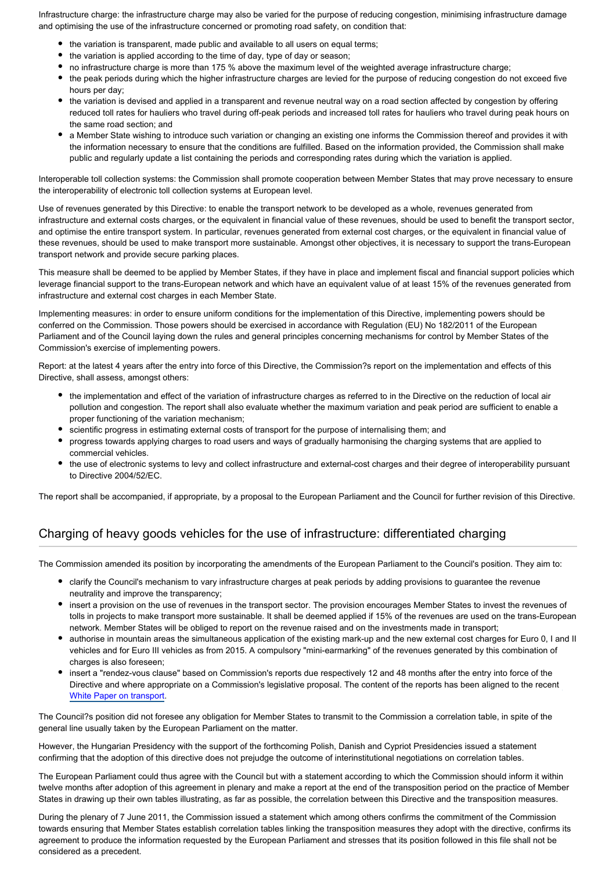Infrastructure charge: the infrastructure charge may also be varied for the purpose of reducing congestion, minimising infrastructure damage and optimising the use of the infrastructure concerned or promoting road safety, on condition that:

- the variation is transparent, made public and available to all users on equal terms:
- the variation is applied according to the time of day, type of day or season;
- no infrastructure charge is more than 175 % above the maximum level of the weighted average infrastructure charge;
- the peak periods during which the higher infrastructure charges are levied for the purpose of reducing congestion do not exceed five hours per day;
- the variation is devised and applied in a transparent and revenue neutral way on a road section affected by congestion by offering reduced toll rates for hauliers who travel during off-peak periods and increased toll rates for hauliers who travel during peak hours on the same road section; and
- a Member State wishing to introduce such variation or changing an existing one informs the Commission thereof and provides it with the information necessary to ensure that the conditions are fulfilled. Based on the information provided, the Commission shall make public and regularly update a list containing the periods and corresponding rates during which the variation is applied.

Interoperable toll collection systems: the Commission shall promote cooperation between Member States that may prove necessary to ensure the interoperability of electronic toll collection systems at European level.

Use of revenues generated by this Directive: to enable the transport network to be developed as a whole, revenues generated from infrastructure and external costs charges, or the equivalent in financial value of these revenues, should be used to benefit the transport sector, and optimise the entire transport system. In particular, revenues generated from external cost charges, or the equivalent in financial value of these revenues, should be used to make transport more sustainable. Amongst other objectives, it is necessary to support the trans-European transport network and provide secure parking places.

This measure shall be deemed to be applied by Member States, if they have in place and implement fiscal and financial support policies which leverage financial support to the trans-European network and which have an equivalent value of at least 15% of the revenues generated from infrastructure and external cost charges in each Member State.

Implementing measures: in order to ensure uniform conditions for the implementation of this Directive, implementing powers should be conferred on the Commission. Those powers should be exercised in accordance with Regulation (EU) No 182/2011 of the European Parliament and of the Council laying down the rules and general principles concerning mechanisms for control by Member States of the Commission's exercise of implementing powers.

Report: at the latest 4 years after the entry into force of this Directive, the Commission?s report on the implementation and effects of this Directive, shall assess, amongst others:

- the implementation and effect of the variation of infrastructure charges as referred to in the Directive on the reduction of local air pollution and congestion. The report shall also evaluate whether the maximum variation and peak period are sufficient to enable a proper functioning of the variation mechanism;
- scientific progress in estimating external costs of transport for the purpose of internalising them; and
- progress towards applying charges to road users and ways of gradually harmonising the charging systems that are applied to commercial vehicles.
- the use of electronic systems to levy and collect infrastructure and external-cost charges and their degree of interoperability pursuant to Directive 2004/52/EC.

The report shall be accompanied, if appropriate, by a proposal to the European Parliament and the Council for further revision of this Directive.

## Charging of heavy goods vehicles for the use of infrastructure: differentiated charging

The Commission amended its position by incorporating the amendments of the European Parliament to the Council's position. They aim to:

- clarify the Council's mechanism to vary infrastructure charges at peak periods by adding provisions to guarantee the revenue neutrality and improve the transparency;
- insert a provision on the use of revenues in the transport sector. The provision encourages Member States to invest the revenues of tolls in projects to make transport more sustainable. It shall be deemed applied if 15% of the revenues are used on the trans-European network. Member States will be obliged to report on the revenue raised and on the investments made in transport;
- authorise in mountain areas the simultaneous application of the existing mark-up and the new external cost charges for Euro 0, I and II vehicles and for Euro III vehicles as from 2015. A compulsory "mini-earmarking" of the revenues generated by this combination of charges is also foreseen;
- insert a "rendez-vous clause" based on Commission's reports due respectively 12 and 48 months after the entry into force of the Directive and where appropriate on a Commission's legislative proposal. The content of the reports has been aligned to the recent [White Paper on transport](http://www.eur-lex.europa.eu/LexUriServ/LexUriServ.do?uri=COM:2011:0144:FIN:EN:PDF).

The Council?s position did not foresee any obligation for Member States to transmit to the Commission a correlation table, in spite of the general line usually taken by the European Parliament on the matter.

However, the Hungarian Presidency with the support of the forthcoming Polish, Danish and Cypriot Presidencies issued a statement confirming that the adoption of this directive does not prejudge the outcome of interinstitutional negotiations on correlation tables.

The European Parliament could thus agree with the Council but with a statement according to which the Commission should inform it within twelve months after adoption of this agreement in plenary and make a report at the end of the transposition period on the practice of Member States in drawing up their own tables illustrating, as far as possible, the correlation between this Directive and the transposition measures.

During the plenary of 7 June 2011, the Commission issued a statement which among others confirms the commitment of the Commission towards ensuring that Member States establish correlation tables linking the transposition measures they adopt with the directive, confirms its agreement to produce the information requested by the European Parliament and stresses that its position followed in this file shall not be considered as a precedent.